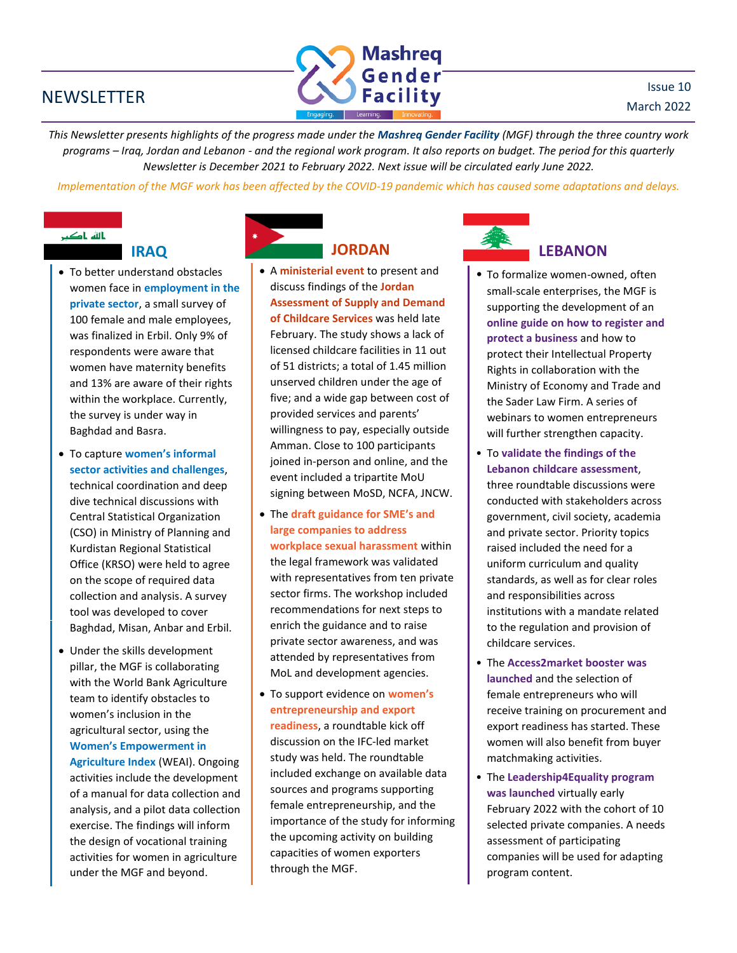### NEWSLETTER



*This Newsletter presents highlights of the progress made under the Mashreq Gender Facility (MGF) through the three country work programs – Iraq, Jordan and Lebanon - and the regional work program. It also reports on budget. The period for this quarterly Newsletter is December 2021 to February 2022. Next issue will be circulated early June 2022.*

*Implementation of the MGF work has been affected by the COVID-19 pandemic which has caused some adaptations and delays.*

# بالله باکب

- To better understand obstacles women face in **employment in the private sector**, a small survey of 100 female and male employees, was finalized in Erbil. Only 9% of respondents were aware that women have maternity benefits and 13% are aware of their rights within the workplace. Currently, the survey is under way in Baghdad and Basra.
- To capture **women's informal sector activities and challenges**, technical coordination and deep dive technical discussions with Central Statistical Organization (CSO) in Ministry of Planning and Kurdistan Regional Statistical Office (KRSO) were held to agree on the scope of required data collection and analysis. A survey tool was developed to cover Baghdad, Misan, Anbar and Erbil.
- Under the skills development pillar, the MGF is collaborating with the World Bank Agriculture team to identify obstacles to women's inclusion in the agricultural sector, using the **Women's Empowerment in Agriculture Index** (WEAI). Ongoing

activities include the development of a manual for data collection and analysis, and a pilot data collection exercise. The findings will inform the design of vocational training activities for women in agriculture under the MGF and beyond.

# **IRAQ JORDAN**

- A **ministerial event** to present and discuss findings of the **Jordan Assessment of Supply and Demand of Childcare Services** was held late February. The study shows a lack of licensed childcare facilities in 11 out of 51 districts; a total of 1.45 million unserved children under the age of five; and a wide gap between cost of provided services and parents' willingness to pay, especially outside Amman. Close to 100 participants joined in-person and online, and the event included a tripartite MoU signing between MoSD, NCFA, JNCW.
- The **draft guidance for SME's and large companies to address workplace sexual harassment** within the legal framework was validated with representatives from ten private sector firms. The workshop included recommendations for next steps to enrich the guidance and to raise private sector awareness, and was attended by representatives from MoL and development agencies.
- To support evidence on **women's entrepreneurship and export readiness**, a roundtable kick off discussion on the IFC-led market study was held. The roundtable included exchange on available data sources and programs supporting female entrepreneurship, and the importance of the study for informing the upcoming activity on building capacities of women exporters through the MGF.



## **LEBANON**

- To formalize women-owned, often small-scale enterprises, the MGF is supporting the development of an **online guide on how to register and protect a business** and how to protect their Intellectual Property Rights in collaboration with the Ministry of Economy and Trade and the Sader Law Firm. A series of webinars to women entrepreneurs will further strengthen capacity.
- To **validate the findings of the Lebanon childcare assessment**, three roundtable discussions were conducted with stakeholders across government, civil society, academia and private sector. Priority topics raised included the need for a uniform curriculum and quality standards, as well as for clear roles and responsibilities across institutions with a mandate related to the regulation and provision of childcare services.
- The **Access2market booster was launched** and the selection of female entrepreneurs who will receive training on procurement and export readiness has started. These women will also benefit from buyer matchmaking activities.
- The **Leadership4Equality program was launched** virtually early February 2022 with the cohort of 10 selected private companies. A needs assessment of participating companies will be used for adapting program content.